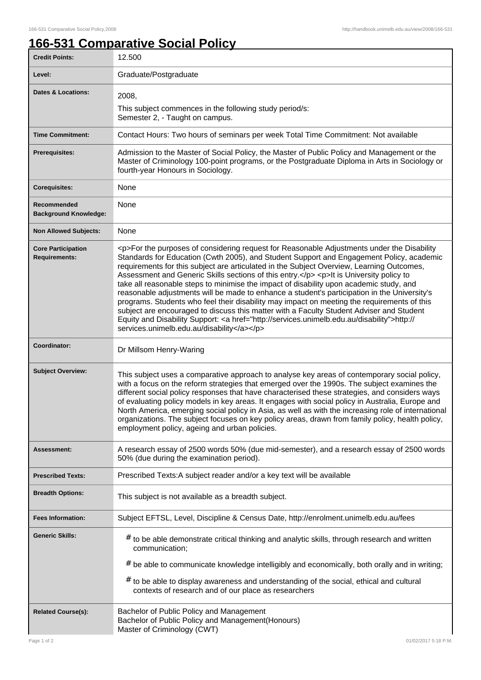## **166-531 Comparative Social Policy**

| <b>Credit Points:</b>                             | 12.500                                                                                                                                                                                                                                                                                                                                                                                                                                                                                                                                                                                                                                                                                                                                                                                                                                                                                                                       |
|---------------------------------------------------|------------------------------------------------------------------------------------------------------------------------------------------------------------------------------------------------------------------------------------------------------------------------------------------------------------------------------------------------------------------------------------------------------------------------------------------------------------------------------------------------------------------------------------------------------------------------------------------------------------------------------------------------------------------------------------------------------------------------------------------------------------------------------------------------------------------------------------------------------------------------------------------------------------------------------|
| Level:                                            | Graduate/Postgraduate                                                                                                                                                                                                                                                                                                                                                                                                                                                                                                                                                                                                                                                                                                                                                                                                                                                                                                        |
| <b>Dates &amp; Locations:</b>                     | 2008,                                                                                                                                                                                                                                                                                                                                                                                                                                                                                                                                                                                                                                                                                                                                                                                                                                                                                                                        |
|                                                   | This subject commences in the following study period/s:<br>Semester 2, - Taught on campus.                                                                                                                                                                                                                                                                                                                                                                                                                                                                                                                                                                                                                                                                                                                                                                                                                                   |
| <b>Time Commitment:</b>                           | Contact Hours: Two hours of seminars per week Total Time Commitment: Not available                                                                                                                                                                                                                                                                                                                                                                                                                                                                                                                                                                                                                                                                                                                                                                                                                                           |
| <b>Prerequisites:</b>                             | Admission to the Master of Social Policy, the Master of Public Policy and Management or the<br>Master of Criminology 100-point programs, or the Postgraduate Diploma in Arts in Sociology or<br>fourth-year Honours in Sociology.                                                                                                                                                                                                                                                                                                                                                                                                                                                                                                                                                                                                                                                                                            |
| <b>Corequisites:</b>                              | None                                                                                                                                                                                                                                                                                                                                                                                                                                                                                                                                                                                                                                                                                                                                                                                                                                                                                                                         |
| Recommended<br><b>Background Knowledge:</b>       | None                                                                                                                                                                                                                                                                                                                                                                                                                                                                                                                                                                                                                                                                                                                                                                                                                                                                                                                         |
| <b>Non Allowed Subjects:</b>                      | None                                                                                                                                                                                                                                                                                                                                                                                                                                                                                                                                                                                                                                                                                                                                                                                                                                                                                                                         |
| <b>Core Participation</b><br><b>Requirements:</b> | <p>For the purposes of considering request for Reasonable Adjustments under the Disability<br/>Standards for Education (Cwth 2005), and Student Support and Engagement Policy, academic<br/>requirements for this subject are articulated in the Subject Overview, Learning Outcomes,<br/>Assessment and Generic Skills sections of this entry.</p> <p>It is University policy to<br/>take all reasonable steps to minimise the impact of disability upon academic study, and<br/>reasonable adjustments will be made to enhance a student's participation in the University's<br/>programs. Students who feel their disability may impact on meeting the requirements of this<br/>subject are encouraged to discuss this matter with a Faculty Student Adviser and Student<br/>Equity and Disability Support: &lt; a href="http://services.unimelb.edu.au/disability"&gt;http://<br/>services.unimelb.edu.au/disability</p> |
| Coordinator:                                      | Dr Millsom Henry-Waring                                                                                                                                                                                                                                                                                                                                                                                                                                                                                                                                                                                                                                                                                                                                                                                                                                                                                                      |
| <b>Subject Overview:</b>                          | This subject uses a comparative approach to analyse key areas of contemporary social policy,<br>with a focus on the reform strategies that emerged over the 1990s. The subject examines the<br>different social policy responses that have characterised these strategies, and considers ways<br>of evaluating policy models in key areas. It engages with social policy in Australia, Europe and<br>North America, emerging social policy in Asia, as well as with the increasing role of international<br>organizations. The subject focuses on key policy areas, drawn from family policy, health policy,<br>employment policy, ageing and urban policies.                                                                                                                                                                                                                                                                |
| <b>Assessment:</b>                                | A research essay of 2500 words 50% (due mid-semester), and a research essay of 2500 words<br>50% (due during the examination period).                                                                                                                                                                                                                                                                                                                                                                                                                                                                                                                                                                                                                                                                                                                                                                                        |
| <b>Prescribed Texts:</b>                          | Prescribed Texts: A subject reader and/or a key text will be available                                                                                                                                                                                                                                                                                                                                                                                                                                                                                                                                                                                                                                                                                                                                                                                                                                                       |
| <b>Breadth Options:</b>                           | This subject is not available as a breadth subject.                                                                                                                                                                                                                                                                                                                                                                                                                                                                                                                                                                                                                                                                                                                                                                                                                                                                          |
| <b>Fees Information:</b>                          | Subject EFTSL, Level, Discipline & Census Date, http://enrolment.unimelb.edu.au/fees                                                                                                                                                                                                                                                                                                                                                                                                                                                                                                                                                                                                                                                                                                                                                                                                                                         |
| <b>Generic Skills:</b>                            | $#$ to be able demonstrate critical thinking and analytic skills, through research and written<br>communication;<br>$#$ be able to communicate knowledge intelligibly and economically, both orally and in writing;<br># to be able to display awareness and understanding of the social, ethical and cultural<br>contexts of research and of our place as researchers                                                                                                                                                                                                                                                                                                                                                                                                                                                                                                                                                       |
| <b>Related Course(s):</b>                         | Bachelor of Public Policy and Management<br>Bachelor of Public Policy and Management(Honours)<br>Master of Criminology (CWT)                                                                                                                                                                                                                                                                                                                                                                                                                                                                                                                                                                                                                                                                                                                                                                                                 |